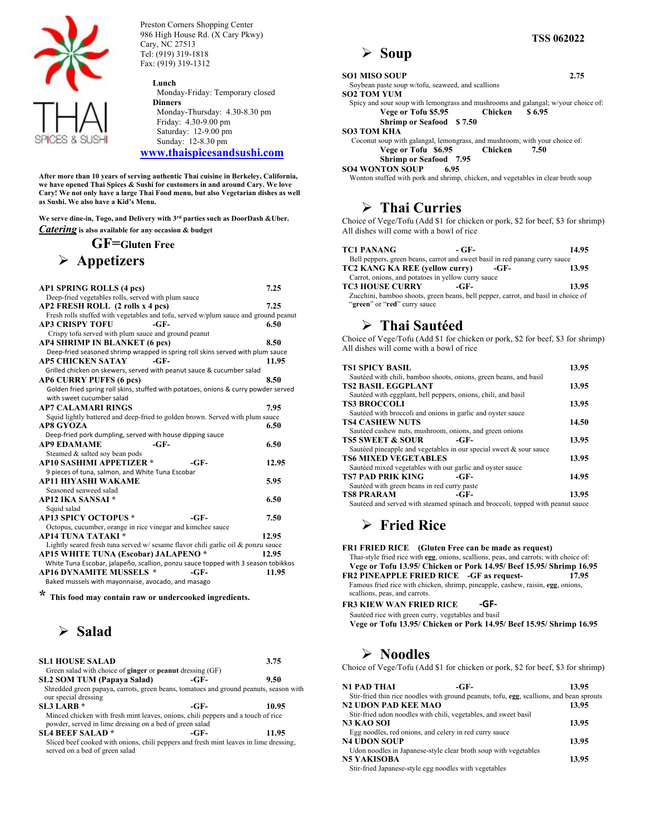

Preston Corners Shopping Center 986 High House Rd. (X Cary Pkwy) Cary, NC 27513 Tel: (919) 319-1818 Fax: (919) 319-1312

#### **Lunch**

 Monday-Friday: Temporary closed **Dinners** Monday-Thursday: 4.30-8.30 pm Friday: 4.30-9.00 pm Saturday: 12-9.00 pm Sunday: 12-8.30 pm **www.thaispicesandsushi.com**

**After more than 10 years of serving authentic Thai cuisine in Berkeley, California, we have opened Thai Spices & Sushi for customers in and around Cary. We love Cary! We not only have a large Thai Food menu, but also Vegetarian dishes as well as Sushi. We also have a Kid's Menu.**

**We serve dine-in, Togo, and Delivery with 3rd parties such as DoorDash &Uber.** *Catering* **is also available for any occasion & budget**

#### **GF=Gluten Free**

#### Ø **Appetizers**

| <b>AP1 SPRING ROLLS (4 pcs)</b>                                                         |        |        | 7.25  |
|-----------------------------------------------------------------------------------------|--------|--------|-------|
| Deep-fried vegetables rolls, served with plum sauce                                     |        |        |       |
| AP2 FRESH ROLL (2 rolls x 4 pcs)                                                        |        |        | 7.25  |
| Fresh rolls stuffed with vegetables and tofu, served w/plum sauce and ground peanut     |        |        |       |
| <b>AP3 CRISPY TOFU</b>                                                                  | $-GF-$ |        | 6.50  |
| Crispy tofu served with plum sauce and ground peanut                                    |        |        |       |
| <b>AP4 SHRIMP IN BLANKET (6 pcs)</b>                                                    |        |        | 8.50  |
| Deep-fried seasoned shrimp wrapped in spring roll skins served with plum sauce          |        |        |       |
| <b>AP5 CHICKEN SATAY</b>                                                                | $-GF-$ |        | 11.95 |
| Grilled chicken on skewers, served with peanut sauce & cucumber salad                   |        |        |       |
| AP6 CURRY PUFFS (6 pcs)                                                                 |        |        | 8.50  |
| Golden fried spring roll skins, stuffed with potatoes, onions & curry powder served     |        |        |       |
| with sweet cucumber salad                                                               |        |        |       |
| <b>AP7 CALAMARI RINGS</b>                                                               |        |        | 7.95  |
| Squid lightly battered and deep-fried to golden brown. Served with plum sauce           |        |        |       |
| <b>AP8 GYOZA</b>                                                                        |        |        | 6.50  |
| Deep-fried pork dumpling, served with house dipping sauce                               |        |        |       |
| <b>AP9 EDAMAME</b>                                                                      | $-GF-$ |        | 6.50  |
| Steamed & salted soy bean pods                                                          |        |        |       |
| <b>AP10 SASHIMI APPETIZER *</b>                                                         |        | $-GF-$ | 12.95 |
| 9 pieces of tuna, salmon, and White Tuna Escobar                                        |        |        |       |
| <b>AP11 HIYASHI WAKAME</b>                                                              |        |        | 5.95  |
| Seasoned seaweed salad                                                                  |        |        |       |
| <b>AP12 IKA SANSAI *</b>                                                                |        |        | 6.50  |
|                                                                                         |        |        |       |
| Squid salad<br><b>AP13 SPICY OCTOPUS *</b>                                              |        | $-GF-$ | 7.50  |
|                                                                                         |        |        |       |
| Octopus, cucumber, orange in rice vinegar and kimchee sauce<br><b>AP14 TUNA TATAKI*</b> |        |        | 12.95 |
|                                                                                         |        |        |       |
| Lightly seared fresh tuna served w/sesame flavor chili garlic oil & ponzu sauce         |        |        |       |
| <b>AP15 WHITE TUNA (Escobar) JALAPENO *</b>                                             |        |        | 12.95 |
| White Tuna Escobar, jalapeño, scallion, ponzu sauce topped with 3 season tobikkos       |        |        |       |
| <b>AP16 DYNAMITE MUSSELS *</b>                                                          |        | $-GF-$ | 11.95 |
| Baked mussels with mayonnaise, avocado, and masago                                      |        |        |       |
| مله                                                                                     |        |        |       |

**\* This food may contain raw or undercooked ingredients.**

## Ø **Salad**

| <b>SL1 HOUSE SALAD</b><br>Green salad with choice of <b>ginger</b> or <b>peanut</b> dressing (GF)                                           |      | 3.75  |
|---------------------------------------------------------------------------------------------------------------------------------------------|------|-------|
| <b>SL2 SOM TUM (Papaya Salad)</b>                                                                                                           | -GF- | 9.50  |
| Shredded green papaya, carrots, green beans, tomatoes and ground peanuts, season with<br>our special dressing                               |      |       |
| $SI.3$ LARB $*$                                                                                                                             | -GF- | 10.95 |
| Minced chicken with fresh mint leaves, onions, chili peppers and a touch of rice<br>powder, served in lime dressing on a bed of green salad |      |       |
| <b>SL4 BEEF SALAD*</b>                                                                                                                      | -GF- | 11.95 |
| Sliced beef cooked with onions, chili peppers and fresh mint leaves in lime dressing,<br>served on a bed of green salad                     |      |       |

Ø **Soup**

| <b>SO1 MISO SOUP</b>                                                              |                | 2.75   |
|-----------------------------------------------------------------------------------|----------------|--------|
| Soybean paste soup w/tofu, seaweed, and scallions                                 |                |        |
| <b>SO2 TOM YUM</b>                                                                |                |        |
| Spicy and sour soup with lemongrass and mushrooms and galangal; w/your choice of: |                |        |
| Vege or Tofu \$5.95                                                               | Chicken        | \$6.95 |
| <b>Shrimp or Seafood \$7.50</b>                                                   |                |        |
| <b>SO3 TOM KHA</b>                                                                |                |        |
| Coconut soup with galangal, lemongrass, and mushroom; with your choice of:        |                |        |
| Vege or Tofu \$6.95                                                               | <b>Chicken</b> | 7.50   |
| <b>Shrimp or Seafood</b> 7.95                                                     |                |        |
| SO4 WONTON SOUP 6.95                                                              |                |        |
| Wonton stuffed with pork and shrimp, chicken, and vegetables in clear broth soup  |                |        |

#### Ø **Thai Curries**

Choice of Vege/Tofu (Add \$1 for chicken or pork, \$2 for beef, \$3 for shrimp) All dishes will come with a bowl of rice

| <b>TC1 PANANG</b>                                                                 | - GF- |      | 14.95 |
|-----------------------------------------------------------------------------------|-------|------|-------|
| Bell peppers, green beans, carrot and sweet basil in red panang curry sauce       |       |      |       |
| TC2 KANG KA REE (yellow curry)                                                    |       | -GF- | 13.95 |
| Carrot, onions, and potatoes in yellow curry sauce                                |       |      |       |
| <b>TC3 HOUSE CURRY</b>                                                            | -GF-  |      | 13.95 |
| Zucchini, bamboo shoots, green beans, bell pepper, carrot, and basil in choice of |       |      |       |
| "green" or "red" curry sauce                                                      |       |      |       |

#### Ø **Thai Sautéed**

Choice of Vege/Tofu (Add \$1 for chicken or pork, \$2 for beef, \$3 for shrimp) All dishes will come with a bowl of rice

| <b>TS1 SPICY BASIL</b>                                                         | 13.95 |
|--------------------------------------------------------------------------------|-------|
| Sautéed with chili, bamboo shoots, onions, green beans, and basil              |       |
| <b>TS2 BASIL EGGPLANT</b>                                                      | 13.95 |
| Sautéed with eggplant, bell peppers, onions, chili, and basil                  |       |
| <b>TS3 BROCCOLI</b>                                                            | 13.95 |
| Sautéed with broccoli and onions in garlic and oyster sauce                    |       |
| <b>TS4 CASHEW NUTS</b>                                                         | 14.50 |
| Sautéed cashew nuts, mushroom, onions, and green onions                        |       |
| <b>TS5 SWEET &amp; SOUR</b><br>$-GF-$                                          | 13.95 |
| Sautéed pineapple and vegetables in our special sweet & sour sauce             |       |
| <b>TS6 MIXED VEGETABLES</b>                                                    | 13.95 |
| Sautéed mixed vegetables with our garlic and oyster sauce                      |       |
| <b>TS7 PAD PRIK KING</b><br>-GF-                                               | 14.95 |
| Sautéed with green beans in red curry paste                                    |       |
| <b>TS8 PRARAM</b><br>$-GF-$                                                    | 13.95 |
| Sautéed and served with steamed spinach and broccoli, topped with peanut sauce |       |

## Ø **Fried Rice**

**FR1 FRIED RICE (Gluten Free can be made as request)** Thai-style fried rice with **egg**, onions, scallions, peas, and carrots; with choice of: **Vege or Tofu 13.95/ Chicken or Pork 14.95/ Beef 15.95/ Shrimp 16.95 FR2 PINEAPPLE FRIED RICE -GF as request- 17.95** Famous fried rice with chicken, shrimp, pineapple, cashew, raisin, **egg**, onions, scallions, peas, and carrots. **FR3 KIEW WAN FRIED RICE** -**GF**-<br>Sautéed rice with green curry, vegetables and basil

 **Vege or Tofu 13.95/ Chicken or Pork 14.95/ Beef 15.95/ Shrimp 16.95**

#### Ø **Noodles**

Choice of Vege/Tofu (Add \$1 for chicken or pork, \$2 for beef, \$3 for shrimp)

| N1 PAD THAI                | -GF-                                                                                     | 13.95 |
|----------------------------|------------------------------------------------------------------------------------------|-------|
|                            | Stir-fried thin rice noodles with ground peanuts, tofu, egg, scallions, and bean sprouts |       |
| <b>N2 UDON PAD KEE MAO</b> |                                                                                          | 13.95 |
|                            | Stir-fried udon noodles with chili, vegetables, and sweet basil                          |       |
| N3 KAO SOI                 |                                                                                          | 13.95 |
|                            | Egg noodles, red onions, and celery in red curry sauce                                   |       |
| <b>N4 UDON SOUP</b>        |                                                                                          | 13.95 |
|                            | Udon noodles in Japanese-style clear broth soup with vegetables                          |       |
| <b>N5 YAKISOBA</b>         |                                                                                          | 13.95 |
|                            | Calo Calo I Tenence and a common illuminate and the control of                           |       |

Stir-fried Japanese-style egg noodles with vegetables